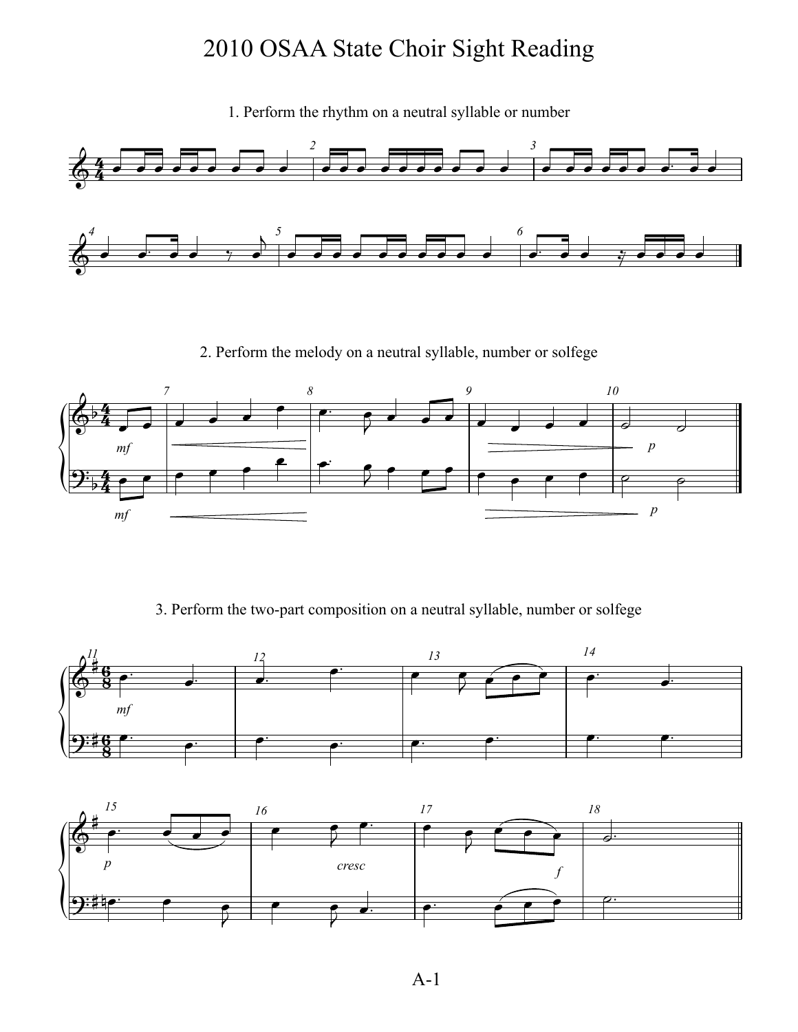1. Perform the rhythm on a neutral syllable or number



2. Perform the melody on a neutral syllable, number or solfege



3. Perform the two-part composition on a neutral syllable, number or solfege



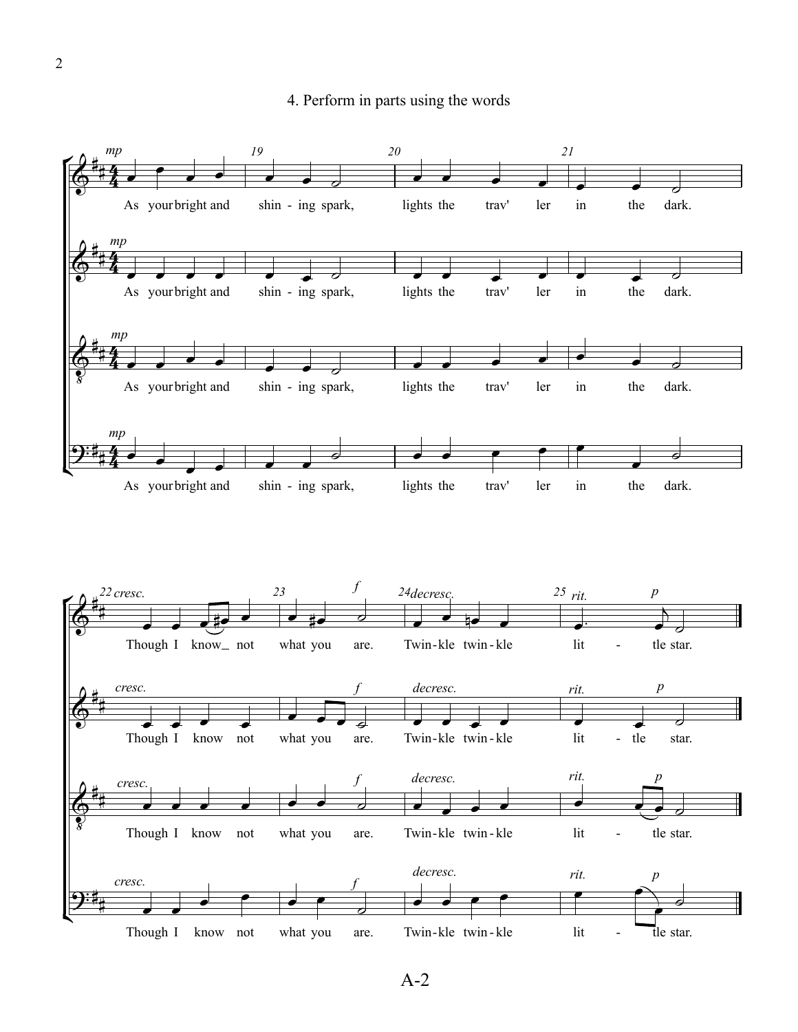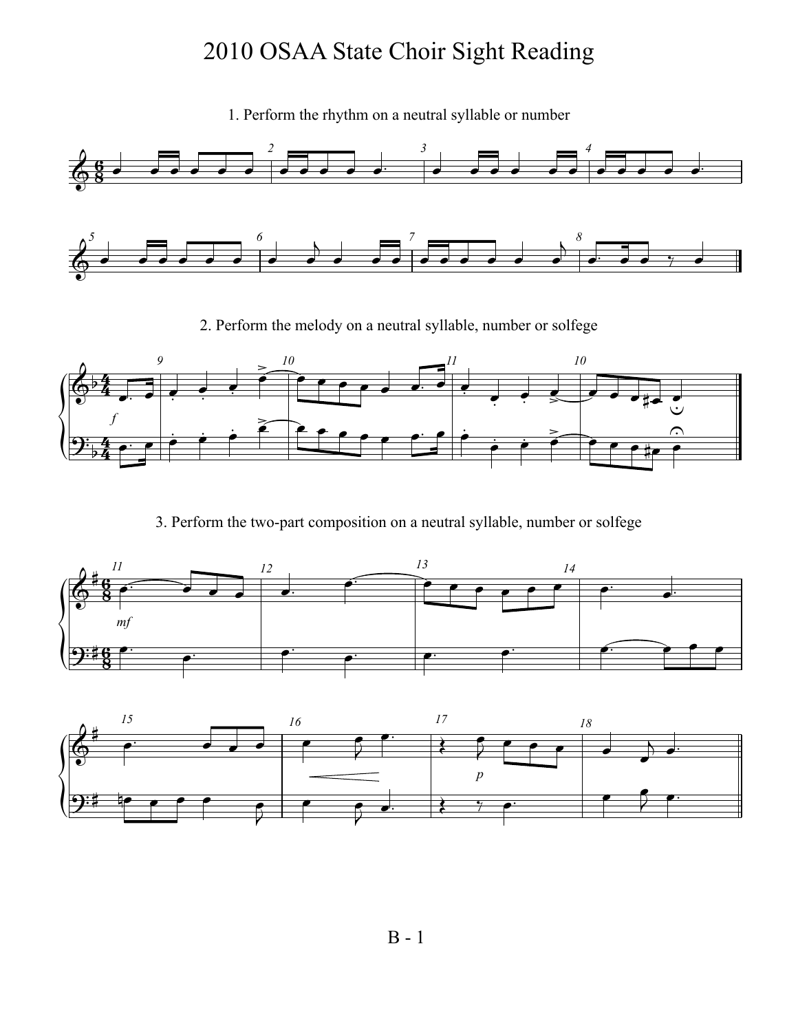1. Perform the rhythm on a neutral syllable or number



2. Perform the melody on a neutral syllable, number or solfege



3. Perform the two-part composition on a neutral syllable, number or solfege



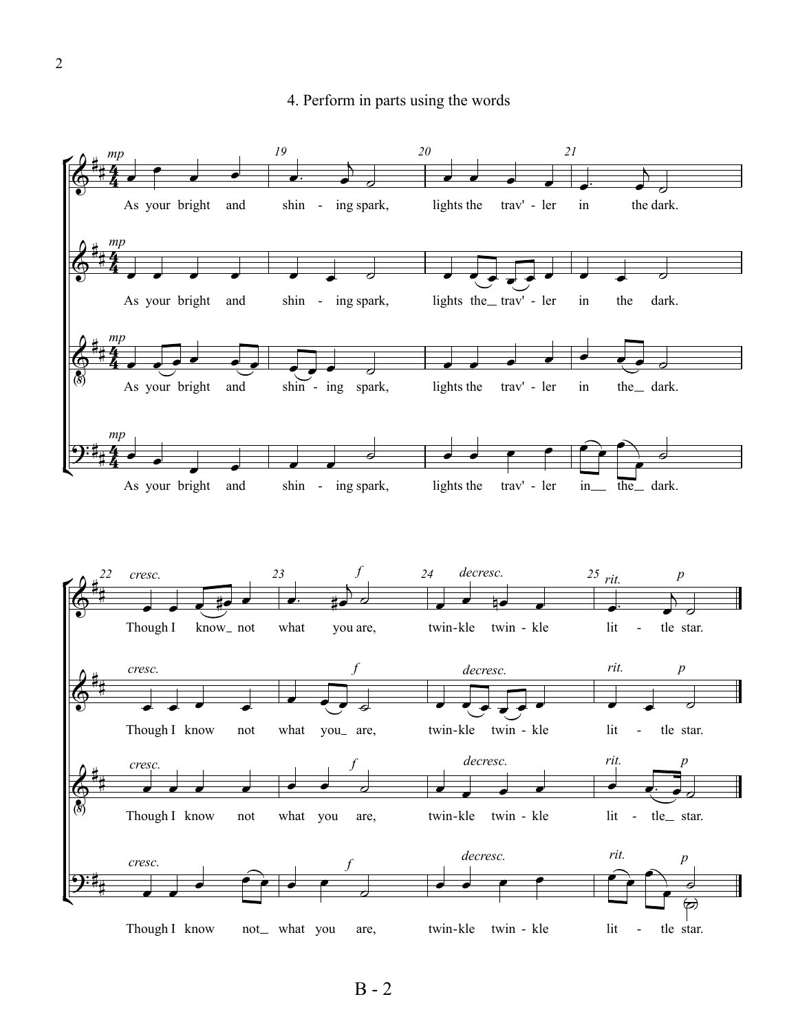

B - 2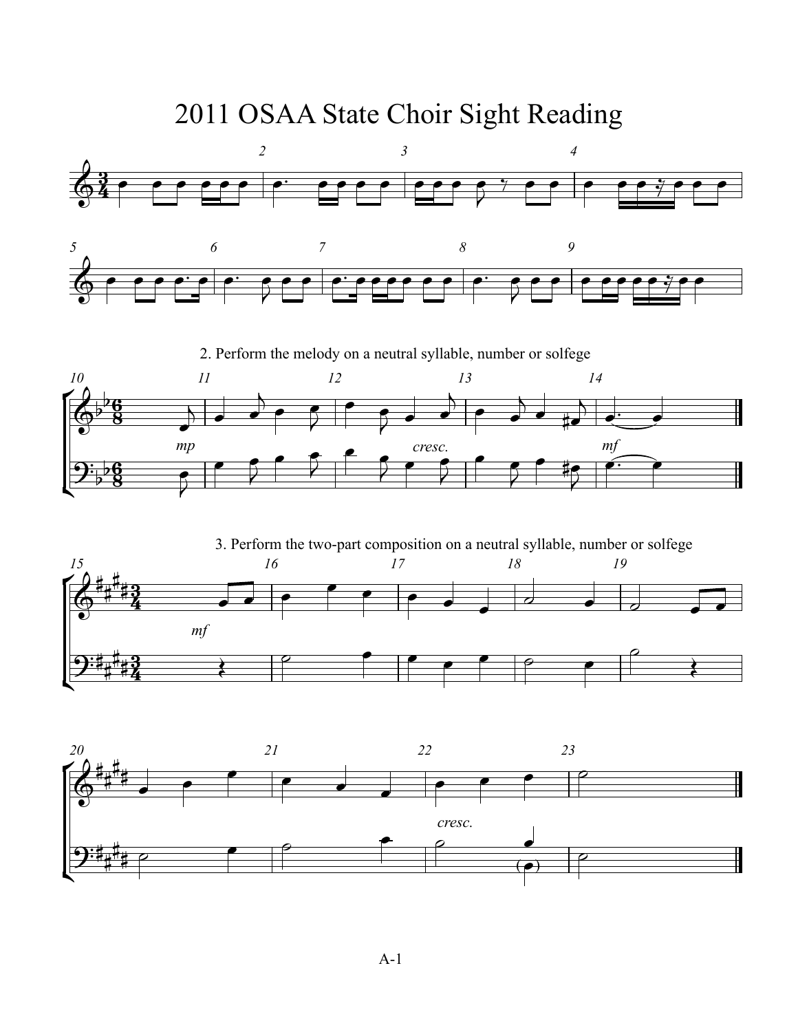

¢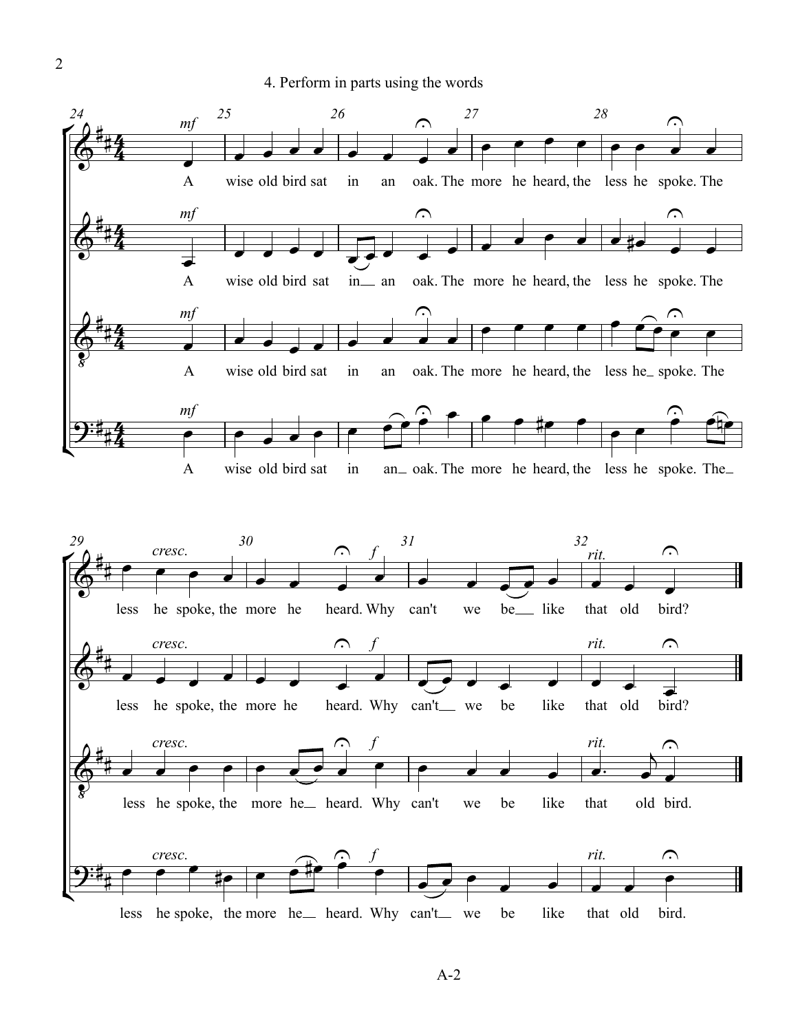2



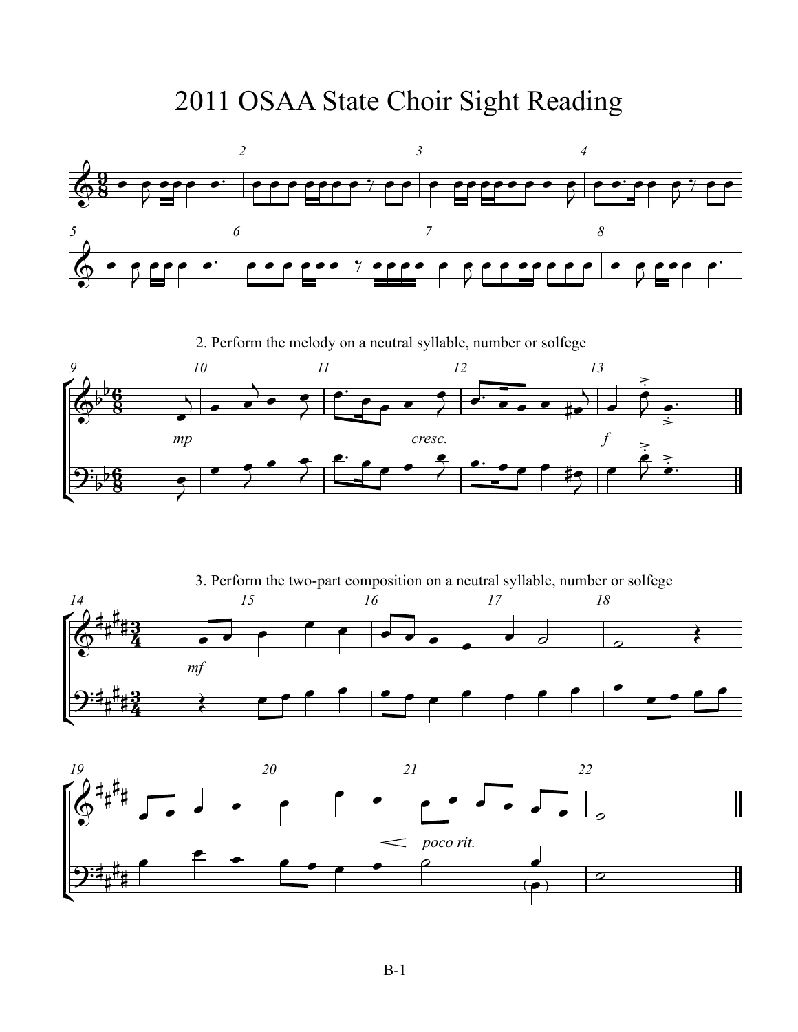

2. Perform the melody on a neutral syllable, number or solfege



° ¢ *mf 14 15 16 17 18* <u>3្</u>  $\frac{3}{4}$ <u>3្</u>  $\frac{3}{4}$  $\delta^*$ # # # 3. Perform the two-part composition on a neutral syllable, number or solfege  $\overline{2:4}$ # # #  $\begin{array}{c} \begin{array}{|c|c|} \hline \textbf{c} & \textbf{e} \end{array} \end{array}$  $\bullet$   $\bullet$   $\bullet$   $\bullet$  $\begin{array}{c|c} \hline \circ & \circ \\ \hline \end{array}$  $\begin{array}{ccccc} \mathbf{C} & \mathbf{C} & \mathbf{C} & \mathbf{C} & \mathbf{C} & \mathbf{C} & \mathbf{C} & \mathbf{C} & \mathbf{C} & \mathbf{C} & \mathbf{C} & \mathbf{C} & \mathbf{C} & \mathbf{C} & \mathbf{C} & \mathbf{C} & \mathbf{C} & \mathbf{C} & \mathbf{C} & \mathbf{C} & \mathbf{C} & \mathbf{C} & \mathbf{C} & \mathbf{C} & \mathbf{C} & \mathbf{C} & \mathbf{C} & \mathbf{C} & \mathbf{C} & \mathbf{C} & \math$  $\bullet$   $\bullet$   $\bullet$   $\bullet$ 

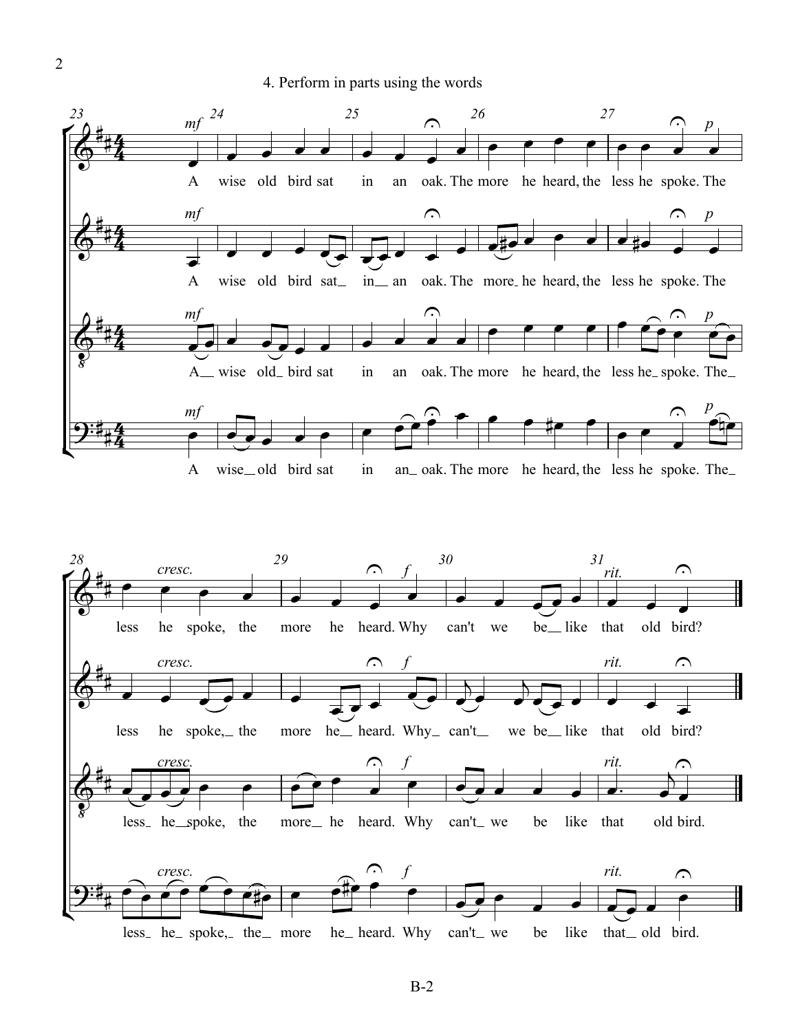



2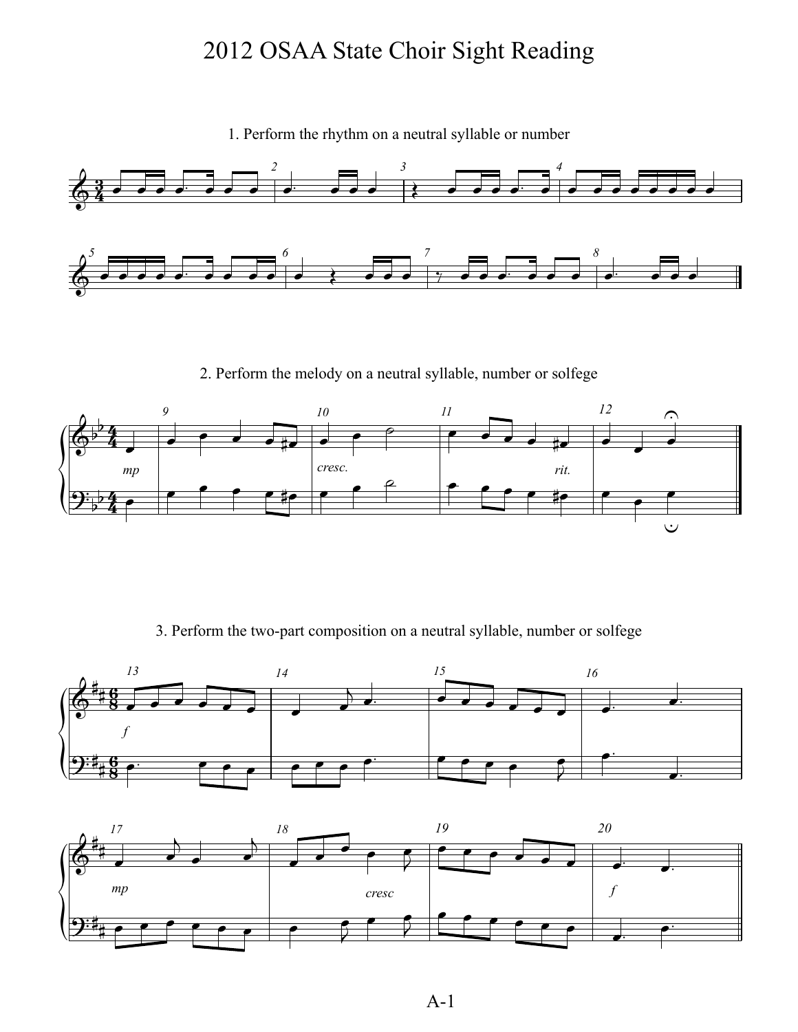1. Perform the rhythm on a neutral syllable or number



2. Perform the melody on a neutral syllable, number or solfege



3. Perform the two-part composition on a neutral syllable, number or solfege



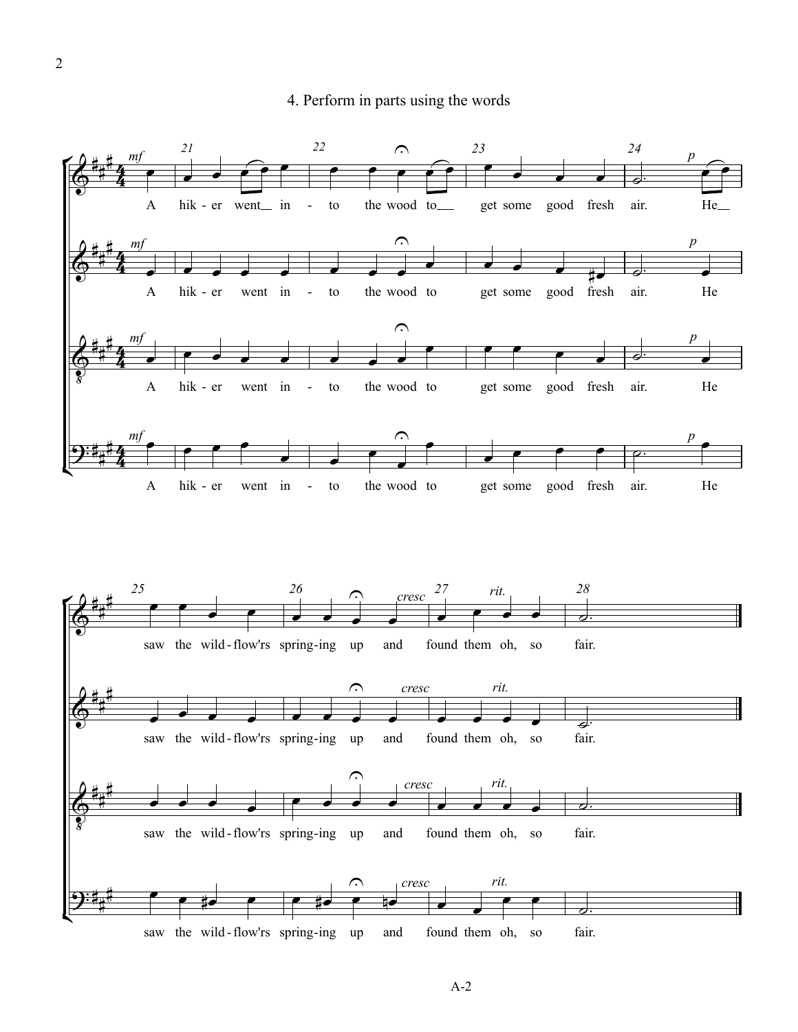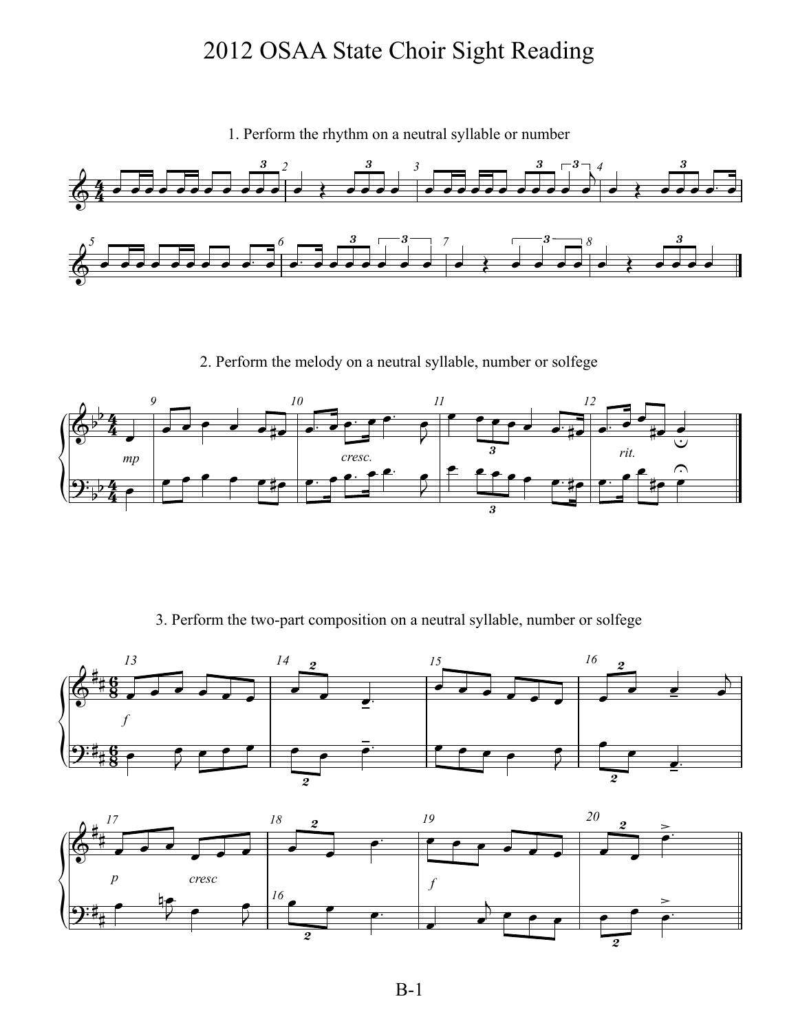

1. Perform the rhythm on a neutral syllable or number

2. Perform the melody on a neutral syllable, number or solfege



3. Perform the two-part composition on a neutral syllable, number or solfege



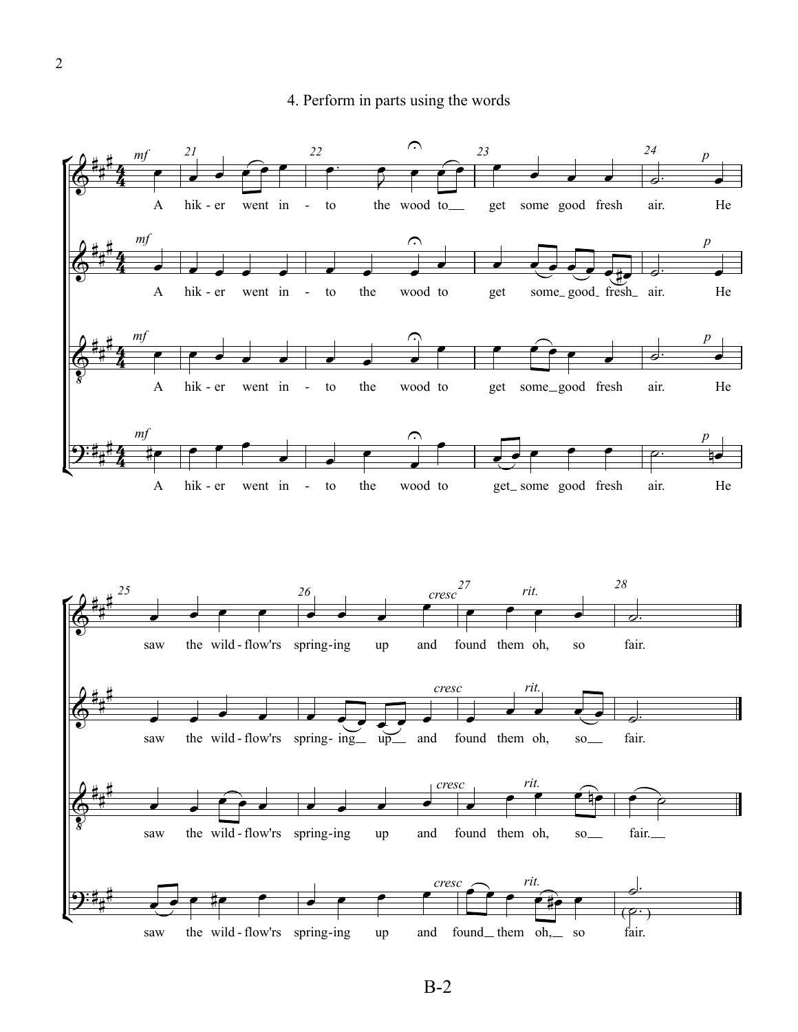



B-2